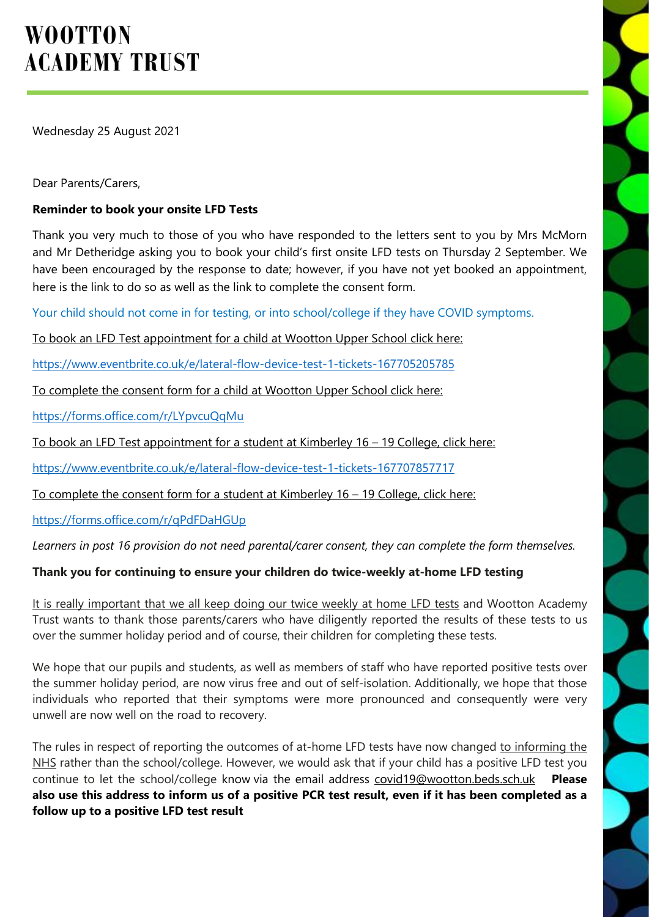# **WOOTTON ACADEMY TRUST**

Wednesday 25 August 2021

Dear Parents/Carers,

# **Reminder to book your onsite LFD Tests**

Thank you very much to those of you who have responded to the letters sent to you by Mrs McMorn and Mr Detheridge asking you to book your child's first onsite LFD tests on Thursday 2 September. We have been encouraged by the response to date; however, if you have not yet booked an appointment, here is the link to do so as well as the link to complete the consent form.

Your child should not come in for testing, or into school/college if they have COVID symptoms.

To book an LFD Test appointment for a child at Wootton Upper School click here:

<https://www.eventbrite.co.uk/e/lateral-flow-device-test-1-tickets-167705205785>

To complete the consent form for a child at Wootton Upper School click here:

<https://forms.office.com/r/LYpvcuQqMu>

To book an LFD Test appointment for a student at Kimberley 16 – 19 College, click here:

<https://www.eventbrite.co.uk/e/lateral-flow-device-test-1-tickets-167707857717>

To complete the consent form for a student at Kimberley 16 – 19 College, click here:

<https://forms.office.com/r/qPdFDaHGUp>

*Learners in post 16 provision do not need parental/carer consent, they can complete the form themselves.*

## **Thank you for continuing to ensure your children do twice-weekly at-home LFD testing**

It is really important that we all keep doing our twice weekly at home LFD tests and Wootton Academy Trust wants to thank those parents/carers who have diligently reported the results of these tests to us over the summer holiday period and of course, their children for completing these tests.

We hope that our pupils and students, as well as members of staff who have reported positive tests over the summer holiday period, are now virus free and out of self-isolation. Additionally, we hope that those individuals who reported that their symptoms were more pronounced and consequently were very unwell are now well on the road to recovery.

The rules in respect of reporting the outcomes of at-home LFD tests have now changed to informing the NHS rather than the school/college. However, we would ask that if your child has a positive LFD test you continue to let the school/college know via the email address [covid19@wootton.beds.sch.uk](mailto:covid19@wootton.beds.sch.uk) **Please** also use this address to inform us of a positive PCR test result, even if it has been completed as a **follow up to a positive LFD test result**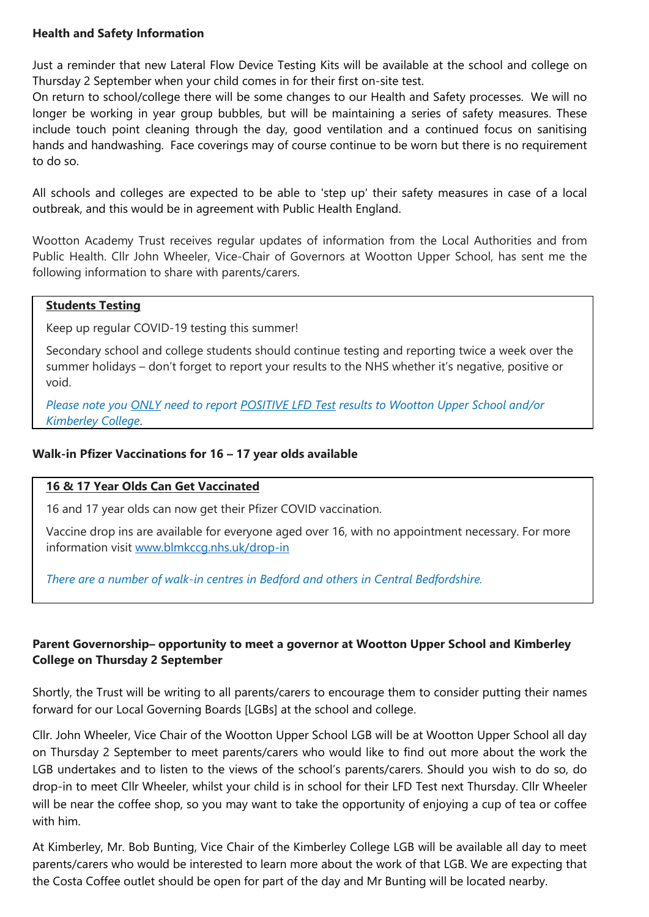## **Health and Safety Information**

Just a reminder that new Lateral Flow Device Testing Kits will be available at the school and college on Thursday 2 September when your child comes in for their first on-site test.

On return to school/college there will be some changes to our Health and Safety processes. We will no longer be working in year group bubbles, but will be maintaining a series of safety measures. These include touch point cleaning through the day, good ventilation and a continued focus on sanitising hands and handwashing. Face coverings may of course continue to be worn but there is no requirement to do so.

All schools and colleges are expected to be able to 'step up' their safety measures in case of a local outbreak, and this would be in agreement with Public Health England.

Wootton Academy Trust receives regular updates of information from the Local Authorities and from Public Health. Cllr John Wheeler, Vice-Chair of Governors at Wootton Upper School, has sent me the following information to share with parents/carers.

#### **Students Testing**

Keep up regular COVID-19 testing this summer!

Secondary school and college students should continue testing and reporting twice a week over the summer holidays – don't forget to report your results to the NHS whether it's negative, positive or void.

*Please note you ONLY need to report POSITIVE LFD Test results to Wootton Upper School and/or Kimberley College*.

## **Walk-in Pfizer Vaccinations for 16 – 17 year olds available**

#### **16 & 17 Year Olds Can Get Vaccinated**

16 and 17 year olds can now get their Pfizer COVID vaccination.

Vaccine drop ins are available for everyone aged over 16, with no appointment necessary. For more information visit [www.blmkccg.nhs.uk/drop-in](http://www.blmkccg.nhs.uk/drop-in)

*There are a number of walk-in centres in Bedford and others in Central Bedfordshire.*

## **Parent Governorship– opportunity to meet a governor at Wootton Upper School and Kimberley College on Thursday 2 September**

Shortly, the Trust will be writing to all parents/carers to encourage them to consider putting their names forward for our Local Governing Boards [LGBs] at the school and college.

Cllr. John Wheeler, Vice Chair of the Wootton Upper School LGB will be at Wootton Upper School all day on Thursday 2 September to meet parents/carers who would like to find out more about the work the LGB undertakes and to listen to the views of the school's parents/carers. Should you wish to do so, do drop-in to meet Cllr Wheeler, whilst your child is in school for their LFD Test next Thursday. Cllr Wheeler will be near the coffee shop, so you may want to take the opportunity of enjoying a cup of tea or coffee with him.

At Kimberley, Mr. Bob Bunting, Vice Chair of the Kimberley College LGB will be available all day to meet parents/carers who would be interested to learn more about the work of that LGB. We are expecting that the Costa Coffee outlet should be open for part of the day and Mr Bunting will be located nearby.